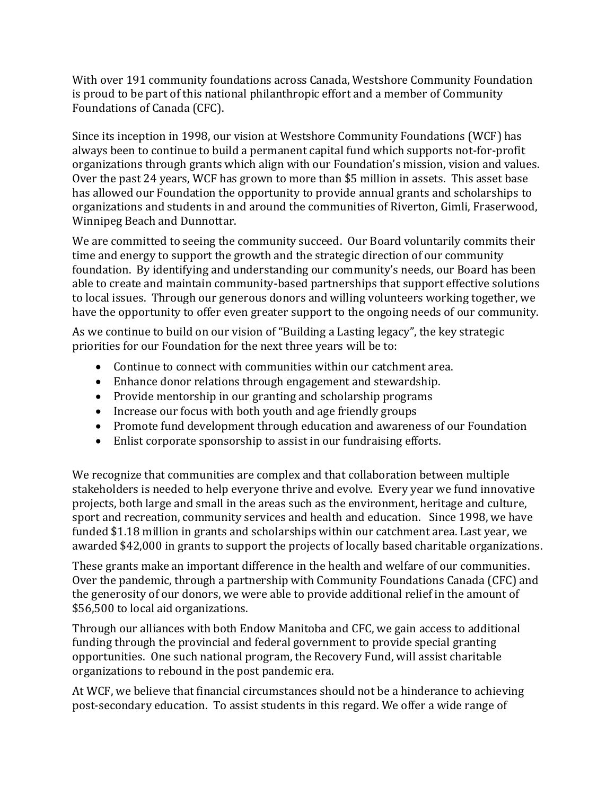With over 191 community foundations across Canada, Westshore Community Foundation is proud to be part of this national philanthropic effort and a member of Community Foundations of Canada (CFC).

Since its inception in 1998, our vision at Westshore Community Foundations (WCF) has always been to continue to build a permanent capital fund which supports not-for-profit organizations through grants which align with our Foundation's mission, vision and values. Over the past 24 years, WCF has grown to more than \$5 million in assets. This asset base has allowed our Foundation the opportunity to provide annual grants and scholarships to organizations and students in and around the communities of Riverton, Gimli, Fraserwood, Winnipeg Beach and Dunnottar.

We are committed to seeing the community succeed. Our Board voluntarily commits their time and energy to support the growth and the strategic direction of our community foundation. By identifying and understanding our community's needs, our Board has been able to create and maintain community-based partnerships that support effective solutions to local issues. Through our generous donors and willing volunteers working together, we have the opportunity to offer even greater support to the ongoing needs of our community.

As we continue to build on our vision of "Building a Lasting legacy", the key strategic priorities for our Foundation for the next three years will be to:

- Continue to connect with communities within our catchment area.
- Enhance donor relations through engagement and stewardship.
- Provide mentorship in our granting and scholarship programs
- Increase our focus with both youth and age friendly groups
- Promote fund development through education and awareness of our Foundation
- Enlist corporate sponsorship to assist in our fundraising efforts.

We recognize that communities are complex and that collaboration between multiple stakeholders is needed to help everyone thrive and evolve. Every year we fund innovative projects, both large and small in the areas such as the environment, heritage and culture, sport and recreation, community services and health and education. Since 1998, we have funded \$1.18 million in grants and scholarships within our catchment area. Last year, we awarded \$42,000 in grants to support the projects of locally based charitable organizations.

These grants make an important difference in the health and welfare of our communities. Over the pandemic, through a partnership with Community Foundations Canada (CFC) and the generosity of our donors, we were able to provide additional relief in the amount of \$56,500 to local aid organizations.

Through our alliances with both Endow Manitoba and CFC, we gain access to additional funding through the provincial and federal government to provide special granting opportunities. One such national program, the Recovery Fund, will assist charitable organizations to rebound in the post pandemic era.

At WCF, we believe that financial circumstances should not be a hinderance to achieving post-secondary education. To assist students in this regard. We offer a wide range of